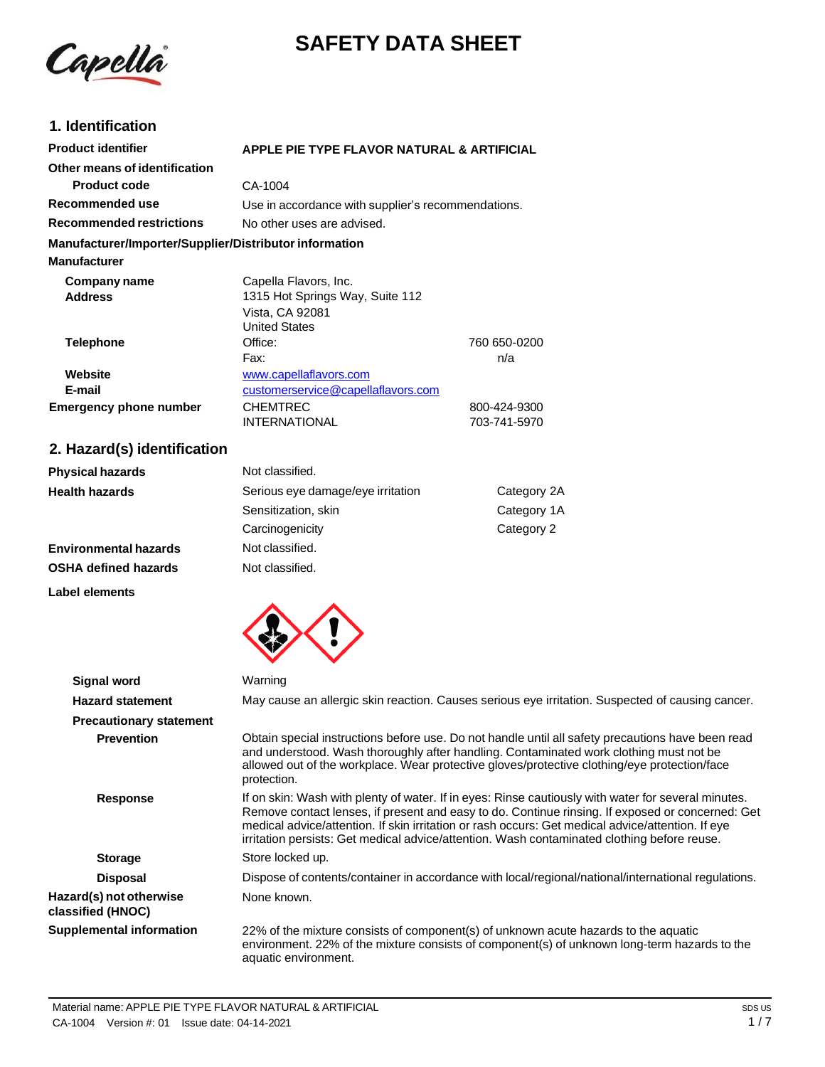



# **1. Identification**

| <b>Product identifier</b>                              | APPLE PIE TYPE FLAVOR NATURAL & ARTIFICIAL         |              |
|--------------------------------------------------------|----------------------------------------------------|--------------|
| Other means of identification                          |                                                    |              |
| <b>Product code</b>                                    | CA-1004                                            |              |
| Recommended use                                        | Use in accordance with supplier's recommendations. |              |
| <b>Recommended restrictions</b>                        | No other uses are advised.                         |              |
| Manufacturer/Importer/Supplier/Distributor information |                                                    |              |
| <b>Manufacturer</b>                                    |                                                    |              |
| Company name                                           | Capella Flavors, Inc.                              |              |
| <b>Address</b>                                         | 1315 Hot Springs Way, Suite 112                    |              |
|                                                        | Vista, CA 92081                                    |              |
|                                                        | <b>United States</b>                               |              |
| <b>Telephone</b>                                       | Office:                                            | 760 650-0200 |
|                                                        | Fax:                                               | n/a          |
| Website                                                | www.capellaflavors.com                             |              |
| E-mail                                                 | customerservice@capellaflavors.com                 |              |
| <b>Emergency phone number</b>                          | CHEMTREC                                           | 800-424-9300 |
|                                                        | <b>INTERNATIONAL</b>                               | 703-741-5970 |
|                                                        |                                                    |              |

# **2. Hazard(s) identification**

| <b>Physical hazards</b>      | Not classified.                   |             |
|------------------------------|-----------------------------------|-------------|
| <b>Health hazards</b>        | Serious eye damage/eye irritation | Category 2A |
|                              | Sensitization, skin               | Category 1A |
|                              | Carcinogenicity                   | Category 2  |
| <b>Environmental hazards</b> | Not classified.                   |             |
| <b>OSHA defined hazards</b>  | Not classified.                   |             |

#### **Label elements**



| Signal word                                  | Warning                                                                                                                                                                                                                                                                                                                                                                                                     |
|----------------------------------------------|-------------------------------------------------------------------------------------------------------------------------------------------------------------------------------------------------------------------------------------------------------------------------------------------------------------------------------------------------------------------------------------------------------------|
| <b>Hazard statement</b>                      | May cause an allergic skin reaction. Causes serious eye irritation. Suspected of causing cancer.                                                                                                                                                                                                                                                                                                            |
| <b>Precautionary statement</b>               |                                                                                                                                                                                                                                                                                                                                                                                                             |
| <b>Prevention</b>                            | Obtain special instructions before use. Do not handle until all safety precautions have been read<br>and understood. Wash thoroughly after handling. Contaminated work clothing must not be<br>allowed out of the workplace. Wear protective gloves/protective clothing/eye protection/face<br>protection.                                                                                                  |
| <b>Response</b>                              | If on skin: Wash with plenty of water. If in eyes: Rinse cautiously with water for several minutes.<br>Remove contact lenses, if present and easy to do. Continue rinsing. If exposed or concerned: Get<br>medical advice/attention. If skin irritation or rash occurs: Get medical advice/attention. If eye<br>irritation persists: Get medical advice/attention. Wash contaminated clothing before reuse. |
| <b>Storage</b>                               | Store locked up.                                                                                                                                                                                                                                                                                                                                                                                            |
| <b>Disposal</b>                              | Dispose of contents/container in accordance with local/regional/national/international regulations.                                                                                                                                                                                                                                                                                                         |
| Hazard(s) not otherwise<br>classified (HNOC) | None known.                                                                                                                                                                                                                                                                                                                                                                                                 |
| <b>Supplemental information</b>              | 22% of the mixture consists of component(s) of unknown acute hazards to the aquatic<br>environment. 22% of the mixture consists of component(s) of unknown long-term hazards to the<br>aquatic environment.                                                                                                                                                                                                 |
|                                              |                                                                                                                                                                                                                                                                                                                                                                                                             |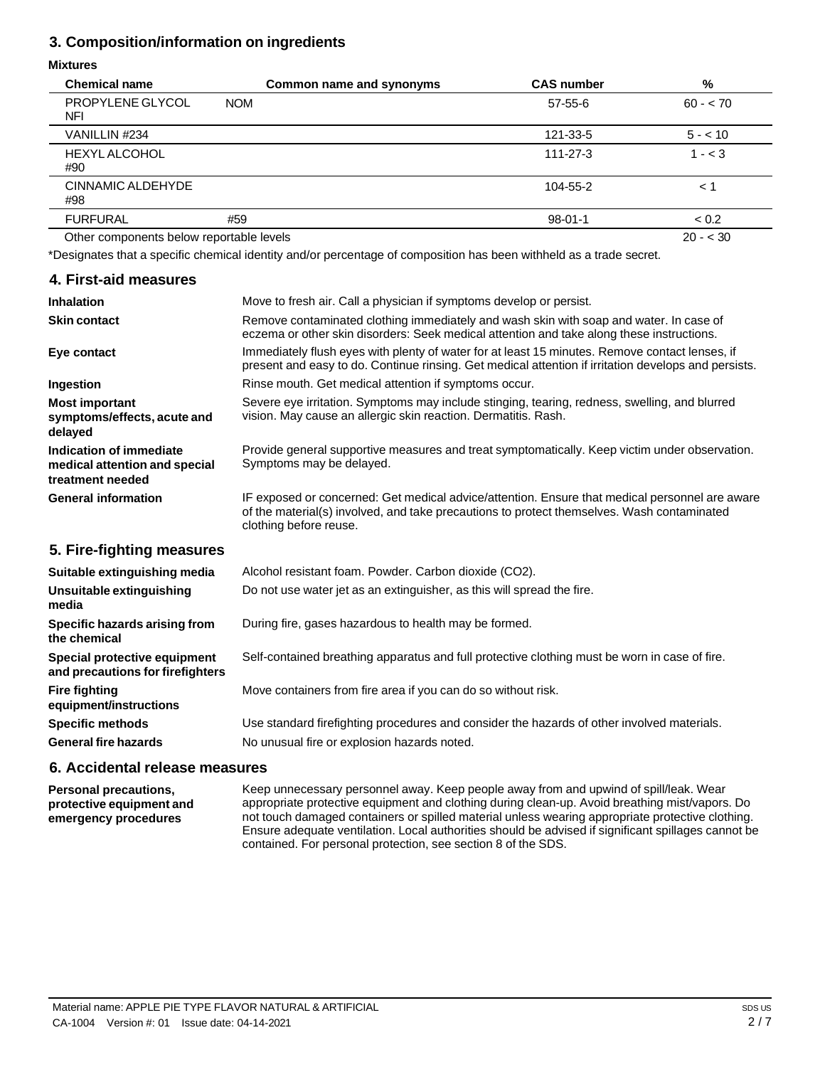# **3. Composition/information on ingredients**

### **Mixtures**

| <b>Chemical name</b>                     | Common name and synonyms | <b>CAS number</b> | %         |
|------------------------------------------|--------------------------|-------------------|-----------|
| PROPYLENE GLYCOL<br>NFI                  | <b>NOM</b>               | $57 - 55 - 6$     | $60 - 70$ |
| VANILLIN #234                            |                          | 121-33-5          | $5 - 10$  |
| <b>HEXYL ALCOHOL</b><br>#90              |                          | $111 - 27 - 3$    | $1 - < 3$ |
| CINNAMIC ALDEHYDE<br>#98                 |                          | 104-55-2          | < 1       |
| <b>FURFURAL</b>                          | #59                      | $98 - 01 - 1$     | < 0.2     |
| Other components below reportable levels |                          |                   | $20 - 30$ |

\*Designates that a specific chemical identity and/or percentage of composition has been withheld as a trade secret.

# **4. First-aid measures**

| <b>Inhalation</b>                                                            | Move to fresh air. Call a physician if symptoms develop or persist.                                                                                                                                                    |
|------------------------------------------------------------------------------|------------------------------------------------------------------------------------------------------------------------------------------------------------------------------------------------------------------------|
| <b>Skin contact</b>                                                          | Remove contaminated clothing immediately and wash skin with soap and water. In case of<br>eczema or other skin disorders: Seek medical attention and take along these instructions.                                    |
| Eye contact                                                                  | Immediately flush eyes with plenty of water for at least 15 minutes. Remove contact lenses, if<br>present and easy to do. Continue rinsing. Get medical attention if irritation develops and persists.                 |
| Ingestion                                                                    | Rinse mouth. Get medical attention if symptoms occur.                                                                                                                                                                  |
| <b>Most important</b><br>symptoms/effects, acute and<br>delayed              | Severe eye irritation. Symptoms may include stinging, tearing, redness, swelling, and blurred<br>vision. May cause an allergic skin reaction. Dermatitis. Rash.                                                        |
| Indication of immediate<br>medical attention and special<br>treatment needed | Provide general supportive measures and treat symptomatically. Keep victim under observation.<br>Symptoms may be delayed.                                                                                              |
| <b>General information</b>                                                   | IF exposed or concerned: Get medical advice/attention. Ensure that medical personnel are aware<br>of the material(s) involved, and take precautions to protect themselves. Wash contaminated<br>clothing before reuse. |
| 5. Fire-fighting measures                                                    |                                                                                                                                                                                                                        |
| Suitable extinguishing media                                                 | Alcohol resistant foam. Powder. Carbon dioxide (CO2).                                                                                                                                                                  |
| Unsuitable extinguishing<br>media                                            | Do not use water jet as an extinguisher, as this will spread the fire.                                                                                                                                                 |
| Specific hazards arising from<br>the chemical                                | During fire, gases hazardous to health may be formed.                                                                                                                                                                  |

**Special protective equipment** Self-contained breathing apparatus and full protective clothing must be worn in case of fire.

Move containers from fire area if you can do so without risk.

**Specific methods General fire hazards** Use standard firefighting procedures and consider the hazards of other involved materials. No unusual fire or explosion hazards noted.

### **6. Accidental release measures**

**and precautions for firefighters**

**Fire fighting**

**Personal precautions, protective equipment and emergency procedures**

**equipment/instructions**

Keep unnecessary personnel away. Keep people away from and upwind of spill/leak. Wear appropriate protective equipment and clothing during clean-up. Avoid breathing mist/vapors. Do not touch damaged containers or spilled material unless wearing appropriate protective clothing. Ensure adequate ventilation. Local authorities should be advised if significant spillages cannot be contained. For personal protection, see section 8 of the SDS.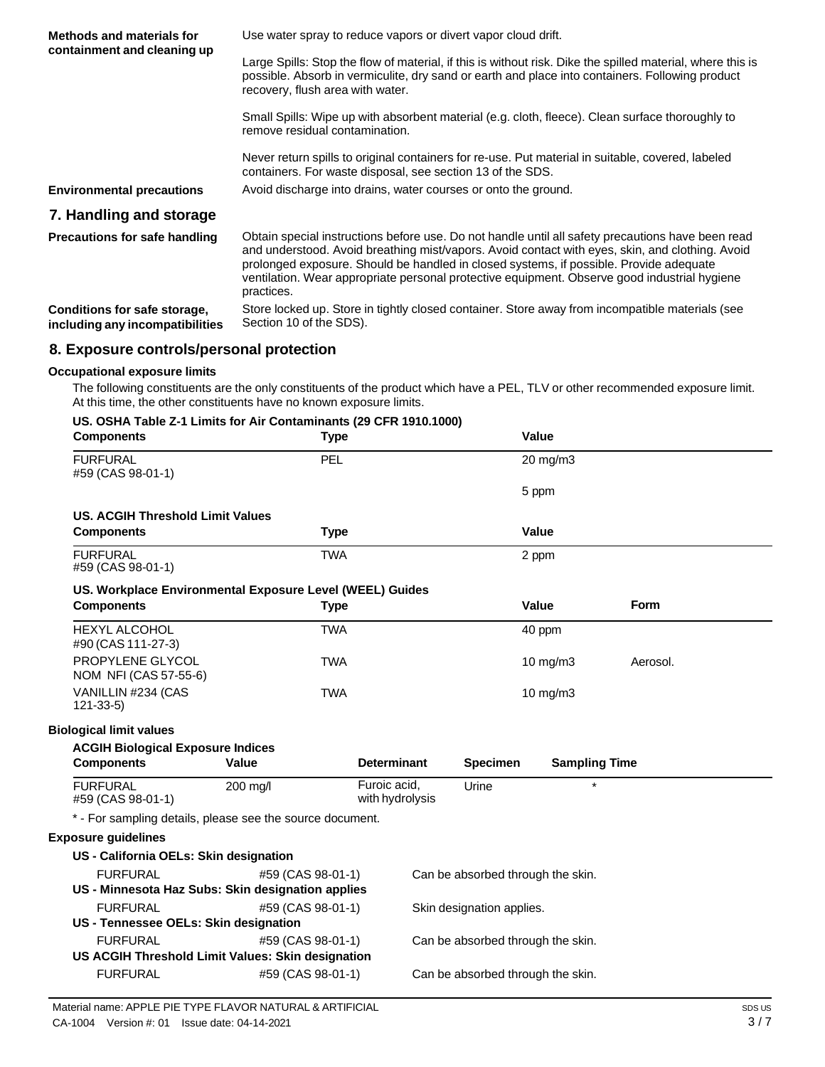| <b>Methods and materials for</b><br>containment and cleaning up | Use water spray to reduce vapors or divert vapor cloud drift.                                                                                                                                                                                                                                                                                                                                                |
|-----------------------------------------------------------------|--------------------------------------------------------------------------------------------------------------------------------------------------------------------------------------------------------------------------------------------------------------------------------------------------------------------------------------------------------------------------------------------------------------|
|                                                                 | Large Spills: Stop the flow of material, if this is without risk. Dike the spilled material, where this is<br>possible. Absorb in vermiculite, dry sand or earth and place into containers. Following product<br>recovery, flush area with water.                                                                                                                                                            |
|                                                                 | Small Spills: Wipe up with absorbent material (e.g. cloth, fleece). Clean surface thoroughly to<br>remove residual contamination.                                                                                                                                                                                                                                                                            |
|                                                                 | Never return spills to original containers for re-use. Put material in suitable, covered, labeled<br>containers. For waste disposal, see section 13 of the SDS.                                                                                                                                                                                                                                              |
| <b>Environmental precautions</b>                                | Avoid discharge into drains, water courses or onto the ground.                                                                                                                                                                                                                                                                                                                                               |
| 7. Handling and storage                                         |                                                                                                                                                                                                                                                                                                                                                                                                              |
| <b>Precautions for safe handling</b>                            | Obtain special instructions before use. Do not handle until all safety precautions have been read<br>and understood. Avoid breathing mist/vapors. Avoid contact with eyes, skin, and clothing. Avoid<br>prolonged exposure. Should be handled in closed systems, if possible. Provide adequate<br>ventilation. Wear appropriate personal protective equipment. Observe good industrial hygiene<br>practices. |
| Conditions for safe storage,<br>including any incompatibilities | Store locked up. Store in tightly closed container. Store away from incompatible materials (see<br>Section 10 of the SDS).                                                                                                                                                                                                                                                                                   |
| 8. Exposure controls/personal protection                        |                                                                                                                                                                                                                                                                                                                                                                                                              |

### **Occupational exposure limits**

The following constituents are the only constituents of the product which have a PEL, TLV or other recommended exposure limit. At this time, the other constituents have no known exposure limits.

| US. OSHA Table Z-1 Limits for Air Contaminants (29 CFR 1910.1000) |  |
|-------------------------------------------------------------------|--|
|-------------------------------------------------------------------|--|

| <b>Components</b>                                         | $\sim$ 001 m 1 apre E-1 Emms for Air Contaminants (25 Or N 15 10, 1000)<br><b>Type</b> |                                 |                           | Value                             |             |  |
|-----------------------------------------------------------|----------------------------------------------------------------------------------------|---------------------------------|---------------------------|-----------------------------------|-------------|--|
| <b>FURFURAL</b><br>#59 (CAS 98-01-1)                      | PEL                                                                                    |                                 |                           | 20 mg/m3                          |             |  |
|                                                           |                                                                                        |                                 |                           | 5 ppm                             |             |  |
| <b>US. ACGIH Threshold Limit Values</b>                   |                                                                                        |                                 |                           |                                   |             |  |
| <b>Components</b>                                         | <b>Type</b>                                                                            |                                 |                           | Value                             |             |  |
| <b>FURFURAL</b><br>#59 (CAS 98-01-1)                      | <b>TWA</b>                                                                             |                                 |                           | 2 ppm                             |             |  |
| US. Workplace Environmental Exposure Level (WEEL) Guides  |                                                                                        |                                 |                           |                                   |             |  |
| <b>Components</b>                                         | <b>Type</b>                                                                            |                                 |                           | Value                             | <b>Form</b> |  |
| <b>HEXYL ALCOHOL</b><br>#90 (CAS 111-27-3)                | <b>TWA</b>                                                                             |                                 |                           | 40 ppm                            |             |  |
| PROPYLENE GLYCOL<br>NOM NFI (CAS 57-55-6)                 | <b>TWA</b>                                                                             |                                 |                           | 10 mg/m3                          | Aerosol.    |  |
| VANILLIN #234 (CAS<br>$121 - 33 - 5$                      | <b>TWA</b>                                                                             |                                 |                           | 10 mg/m3                          |             |  |
| <b>Biological limit values</b>                            |                                                                                        |                                 |                           |                                   |             |  |
| <b>ACGIH Biological Exposure Indices</b>                  |                                                                                        |                                 |                           |                                   |             |  |
| <b>Components</b>                                         | <b>Value</b>                                                                           | <b>Determinant</b>              | <b>Specimen</b>           | <b>Sampling Time</b>              |             |  |
| <b>FURFURAL</b><br>#59 (CAS 98-01-1)                      | 200 mg/l                                                                               | Furoic acid.<br>with hydrolysis | Urine                     | $\star$                           |             |  |
| * - For sampling details, please see the source document. |                                                                                        |                                 |                           |                                   |             |  |
| <b>Exposure guidelines</b>                                |                                                                                        |                                 |                           |                                   |             |  |
| US - California OELs: Skin designation                    |                                                                                        |                                 |                           |                                   |             |  |
| <b>FURFURAL</b>                                           | #59 (CAS 98-01-1)                                                                      |                                 |                           | Can be absorbed through the skin. |             |  |
| US - Minnesota Haz Subs: Skin designation applies         |                                                                                        |                                 |                           |                                   |             |  |
| <b>FURFURAL</b>                                           | #59 (CAS 98-01-1)                                                                      |                                 | Skin designation applies. |                                   |             |  |
| US - Tennessee OELs: Skin designation                     |                                                                                        |                                 |                           |                                   |             |  |
| <b>FURFURAL</b>                                           | #59 (CAS 98-01-1)                                                                      |                                 |                           | Can be absorbed through the skin. |             |  |
| US ACGIH Threshold Limit Values: Skin designation         |                                                                                        |                                 |                           |                                   |             |  |
| <b>FURFURAL</b>                                           | #59 (CAS 98-01-1)                                                                      |                                 |                           | Can be absorbed through the skin. |             |  |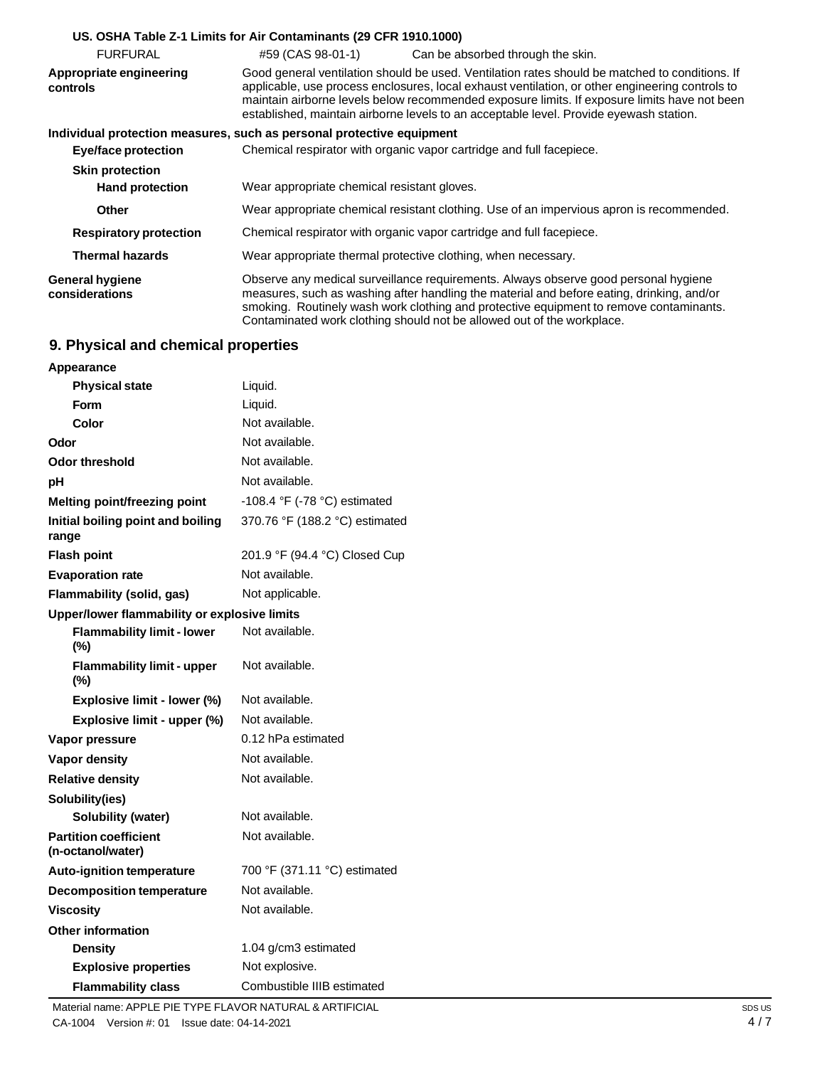|                                          | US. OSHA Table Z-1 Limits for Air Contaminants (29 CFR 1910.1000)                                                                                                                                                                                                                                                                                                                           |  |  |
|------------------------------------------|---------------------------------------------------------------------------------------------------------------------------------------------------------------------------------------------------------------------------------------------------------------------------------------------------------------------------------------------------------------------------------------------|--|--|
| <b>FURFURAL</b>                          | #59 (CAS 98-01-1)<br>Can be absorbed through the skin.                                                                                                                                                                                                                                                                                                                                      |  |  |
| Appropriate engineering<br>controls      | Good general ventilation should be used. Ventilation rates should be matched to conditions. If<br>applicable, use process enclosures, local exhaust ventilation, or other engineering controls to<br>maintain airborne levels below recommended exposure limits. If exposure limits have not been<br>established, maintain airborne levels to an acceptable level. Provide eyewash station. |  |  |
|                                          | Individual protection measures, such as personal protective equipment                                                                                                                                                                                                                                                                                                                       |  |  |
| Eye/face protection                      | Chemical respirator with organic vapor cartridge and full facepiece.                                                                                                                                                                                                                                                                                                                        |  |  |
| <b>Skin protection</b>                   |                                                                                                                                                                                                                                                                                                                                                                                             |  |  |
| <b>Hand protection</b>                   | Wear appropriate chemical resistant gloves.                                                                                                                                                                                                                                                                                                                                                 |  |  |
| <b>Other</b>                             | Wear appropriate chemical resistant clothing. Use of an impervious apron is recommended.                                                                                                                                                                                                                                                                                                    |  |  |
| <b>Respiratory protection</b>            | Chemical respirator with organic vapor cartridge and full facepiece.                                                                                                                                                                                                                                                                                                                        |  |  |
| <b>Thermal hazards</b>                   | Wear appropriate thermal protective clothing, when necessary.                                                                                                                                                                                                                                                                                                                               |  |  |
| <b>General hygiene</b><br>considerations | Observe any medical surveillance requirements. Always observe good personal hygiene<br>measures, such as washing after handling the material and before eating, drinking, and/or<br>smoking. Routinely wash work clothing and protective equipment to remove contaminants.<br>Contaminated work clothing should not be allowed out of the workplace.                                        |  |  |

# **9. Physical and chemical properties**

| Appearance                                        |                                |
|---------------------------------------------------|--------------------------------|
| <b>Physical state</b>                             | Liquid.                        |
| <b>Form</b>                                       | Liquid.                        |
| Color                                             | Not available.                 |
| Odor                                              | Not available.                 |
| <b>Odor threshold</b>                             | Not available.                 |
| рH                                                | Not available.                 |
| Melting point/freezing point                      | -108.4 °F (-78 °C) estimated   |
| Initial boiling point and boiling<br>range        | 370.76 °F (188.2 °C) estimated |
| <b>Flash point</b>                                | 201.9 °F (94.4 °C) Closed Cup  |
| <b>Evaporation rate</b>                           | Not available.                 |
| Flammability (solid, gas)                         | Not applicable.                |
| Upper/lower flammability or explosive limits      |                                |
| <b>Flammability limit - lower</b><br>(%)          | Not available.                 |
| <b>Flammability limit - upper</b><br>$(\%)$       | Not available.                 |
| Explosive limit - lower (%)                       | Not available.                 |
| Explosive limit - upper (%)                       | Not available.                 |
| Vapor pressure                                    | 0.12 hPa estimated             |
| <b>Vapor density</b>                              | Not available.                 |
| <b>Relative density</b>                           | Not available.                 |
| Solubility(ies)                                   |                                |
| Solubility (water)                                | Not available.                 |
| <b>Partition coefficient</b><br>(n-octanol/water) | Not available.                 |
| Auto-ignition temperature                         | 700 °F (371.11 °C) estimated   |
| <b>Decomposition temperature</b>                  | Not available.                 |
| Viscosity                                         | Not available.                 |
| <b>Other information</b>                          |                                |
| <b>Density</b>                                    | 1.04 g/cm3 estimated           |
| <b>Explosive properties</b>                       | Not explosive.                 |
| <b>Flammability class</b>                         | Combustible IIIB estimated     |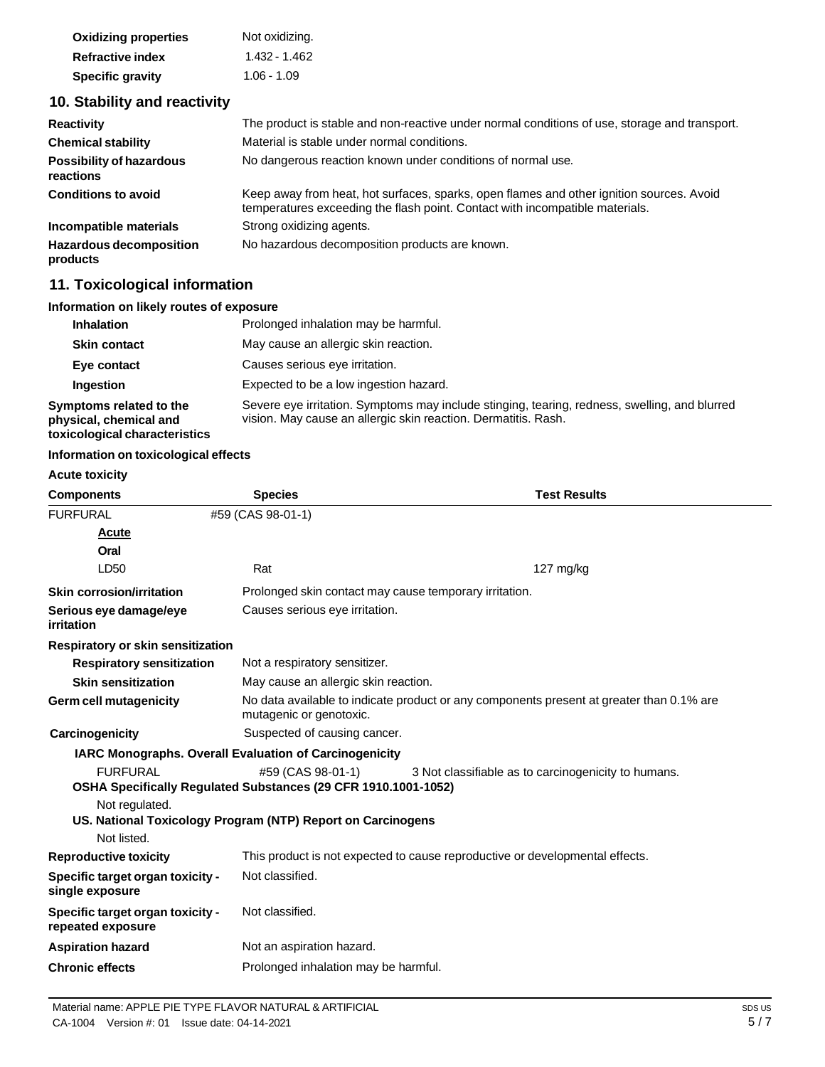| <b>Oxidizing properties</b> | Not oxidizing. |
|-----------------------------|----------------|
| <b>Refractive index</b>     | 1.432 - 1.462  |
| <b>Specific gravity</b>     | $1.06 - 1.09$  |

# **10. Stability and reactivity**

| <b>Reactivity</b>                            | The product is stable and non-reactive under normal conditions of use, storage and transport.                                                                            |
|----------------------------------------------|--------------------------------------------------------------------------------------------------------------------------------------------------------------------------|
| <b>Chemical stability</b>                    | Material is stable under normal conditions.                                                                                                                              |
| <b>Possibility of hazardous</b><br>reactions | No dangerous reaction known under conditions of normal use.                                                                                                              |
| <b>Conditions to avoid</b>                   | Keep away from heat, hot surfaces, sparks, open flames and other ignition sources. Avoid<br>temperatures exceeding the flash point. Contact with incompatible materials. |
| Incompatible materials                       | Strong oxidizing agents.                                                                                                                                                 |
| <b>Hazardous decomposition</b><br>products   | No hazardous decomposition products are known.                                                                                                                           |

# **11. Toxicological information**

### **Information on likely routes of exposure**

| <b>Inhalation</b>                                                                  | Prolonged inhalation may be harmful.                                                                                                                            |
|------------------------------------------------------------------------------------|-----------------------------------------------------------------------------------------------------------------------------------------------------------------|
| <b>Skin contact</b>                                                                | May cause an allergic skin reaction.                                                                                                                            |
| Eye contact                                                                        | Causes serious eye irritation.                                                                                                                                  |
| <b>Ingestion</b>                                                                   | Expected to be a low ingestion hazard.                                                                                                                          |
| Symptoms related to the<br>physical, chemical and<br>toxicological characteristics | Severe eye irritation. Symptoms may include stinging, tearing, redness, swelling, and blurred<br>vision. May cause an allergic skin reaction. Dermatitis. Rash. |

### **Information on toxicological effects**

### **Acute toxicity**

| <b>Components</b>                                     | <b>Species</b>                                                               | <b>Test Results</b>                                                                      |
|-------------------------------------------------------|------------------------------------------------------------------------------|------------------------------------------------------------------------------------------|
| <b>FURFURAL</b>                                       | #59 (CAS 98-01-1)                                                            |                                                                                          |
| Acute                                                 |                                                                              |                                                                                          |
| Oral                                                  |                                                                              |                                                                                          |
| LD50                                                  | Rat                                                                          | $127$ mg/kg                                                                              |
| <b>Skin corrosion/irritation</b>                      | Prolonged skin contact may cause temporary irritation.                       |                                                                                          |
| Serious eye damage/eye<br>irritation                  | Causes serious eye irritation.                                               |                                                                                          |
| <b>Respiratory or skin sensitization</b>              |                                                                              |                                                                                          |
| <b>Respiratory sensitization</b>                      | Not a respiratory sensitizer.                                                |                                                                                          |
| <b>Skin sensitization</b>                             | May cause an allergic skin reaction.                                         |                                                                                          |
| <b>Germ cell mutagenicity</b>                         | mutagenic or genotoxic.                                                      | No data available to indicate product or any components present at greater than 0.1% are |
| Carcinogenicity                                       | Suspected of causing cancer.                                                 |                                                                                          |
|                                                       | <b>IARC Monographs. Overall Evaluation of Carcinogenicity</b>                |                                                                                          |
| <b>FURFURAL</b>                                       | #59 (CAS 98-01-1)                                                            | 3 Not classifiable as to carcinogenicity to humans.                                      |
|                                                       | OSHA Specifically Regulated Substances (29 CFR 1910.1001-1052)               |                                                                                          |
| Not regulated.                                        |                                                                              |                                                                                          |
|                                                       | US. National Toxicology Program (NTP) Report on Carcinogens                  |                                                                                          |
| Not listed.                                           |                                                                              |                                                                                          |
| <b>Reproductive toxicity</b>                          | This product is not expected to cause reproductive or developmental effects. |                                                                                          |
| Specific target organ toxicity -<br>single exposure   | Not classified.                                                              |                                                                                          |
| Specific target organ toxicity -<br>repeated exposure | Not classified.                                                              |                                                                                          |
| <b>Aspiration hazard</b>                              | Not an aspiration hazard.                                                    |                                                                                          |
| <b>Chronic effects</b>                                | Prolonged inhalation may be harmful.                                         |                                                                                          |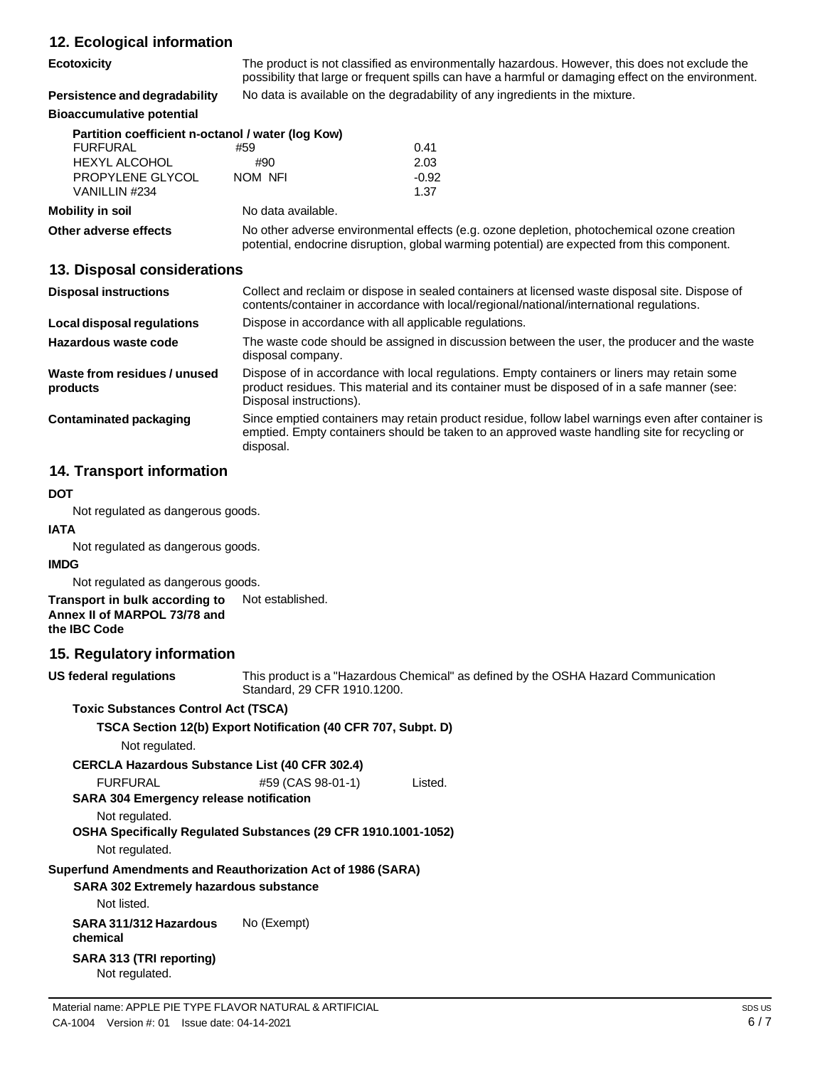# **12. Ecological information**

| $12.$ Loorogioal IIIIonianoni                     |                                                                                                                                                                                                       |         |
|---------------------------------------------------|-------------------------------------------------------------------------------------------------------------------------------------------------------------------------------------------------------|---------|
| <b>Ecotoxicity</b>                                | The product is not classified as environmentally hazardous. However, this does not exclude the<br>possibility that large or frequent spills can have a harmful or damaging effect on the environment. |         |
| Persistence and degradability                     | No data is available on the degradability of any ingredients in the mixture.                                                                                                                          |         |
| <b>Bioaccumulative potential</b>                  |                                                                                                                                                                                                       |         |
| Partition coefficient n-octanol / water (log Kow) |                                                                                                                                                                                                       |         |
| <b>FURFURAL</b>                                   | #59                                                                                                                                                                                                   | 0.41    |
| <b>HEXYL ALCOHOL</b>                              | #90                                                                                                                                                                                                   | 2.03    |
| PROPYLENE GLYCOL                                  | NOM NFI                                                                                                                                                                                               | $-0.92$ |
| VANILLIN #234                                     |                                                                                                                                                                                                       | 1.37    |
| Mobility in soil                                  | No data available.                                                                                                                                                                                    |         |
| Other adverse effects                             | No other adverse environmental effects (e.g. ozone depletion, photochemical ozone creation<br>potential, endocrine disruption, global warming potential) are expected from this component.            |         |
| 13. Disposal considerations                       |                                                                                                                                                                                                       |         |
|                                                   |                                                                                                                                                                                                       |         |

| <b>Disposal instructions</b>             | Collect and reclaim or dispose in sealed containers at licensed waste disposal site. Dispose of<br>contents/container in accordance with local/regional/national/international regulations.                            |
|------------------------------------------|------------------------------------------------------------------------------------------------------------------------------------------------------------------------------------------------------------------------|
| Local disposal regulations               | Dispose in accordance with all applicable regulations.                                                                                                                                                                 |
| Hazardous waste code                     | The waste code should be assigned in discussion between the user, the producer and the waste<br>disposal company.                                                                                                      |
| Waste from residues / unused<br>products | Dispose of in accordance with local regulations. Empty containers or liners may retain some<br>product residues. This material and its container must be disposed of in a safe manner (see:<br>Disposal instructions). |
| <b>Contaminated packaging</b>            | Since emptied containers may retain product residue, follow label warnings even after container is<br>emptied. Empty containers should be taken to an approved waste handling site for recycling or<br>disposal.       |

# **14. Transport information**

### **DOT**

Not regulated as dangerous goods.

# **IATA** Not regulated as dangerous goods.

**IMDG**

Not regulated as dangerous goods.

#### **Transport in bulk according to** Not established. **Annex II of MARPOL 73/78 and the IBC Code**

# **15. Regulatory information**

| <b>US federal regulations</b>                               | This product is a "Hazardous Chemical" as<br>Standard, 29 CFR 1910.1200. |         |
|-------------------------------------------------------------|--------------------------------------------------------------------------|---------|
| <b>Toxic Substances Control Act (TSCA)</b>                  |                                                                          |         |
|                                                             | TSCA Section 12(b) Export Notification (40 CFR 707, Subpt. D)            |         |
| Not regulated.                                              |                                                                          |         |
| <b>CERCLA Hazardous Substance List (40 CFR 302.4)</b>       |                                                                          |         |
| <b>FURFURAL</b>                                             | #59 (CAS 98-01-1)                                                        | Listed. |
| <b>SARA 304 Emergency release notification</b>              |                                                                          |         |
| Not regulated.                                              |                                                                          |         |
|                                                             | OSHA Specifically Regulated Substances (29 CFR 1910.1001-1052)           |         |
| Not regulated.                                              |                                                                          |         |
| Superfund Amendments and Reauthorization Act of 1986 (SARA) |                                                                          |         |
| <b>SARA 302 Extremely hazardous substance</b>               |                                                                          |         |
| Not listed.                                                 |                                                                          |         |
| SARA 311/312 Hazardous<br>chemical                          | No (Exempt)                                                              |         |
| SARA 313 (TRI reporting)<br>Not regulated.                  |                                                                          |         |

defined by the OSHA Hazard Communication